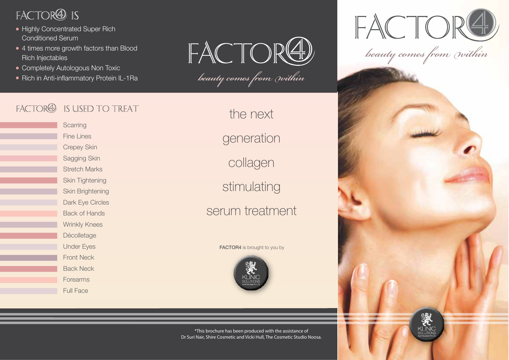# FACTOR<sup>4</sup> IS

- Highly Concentrated Super Rich Conditioned Serum
- 4 times more growth factors than Blood Rich Injectables
- Completely Autologous Non Toxic
- Rich in Anti-inflammatory Protein IL-1Ra

FACTORE

beauty comes from within

# FACTOR<sup>4</sup> IS USED TO TREAT

**Scarring** Fine Lines Crepey Skin Sagging Skin Stretch Marks Skin Tightening Skin Brightening Dark Eye Circles Back of Hands Wrinkly Knees Décolletage Under Eyes Front Neck Back Neck Forearms Full Face

# the next

generation

collagen

stimulating

serum treatment

### FACTOR4 is brought to you by



\*This brochure has been produced with the assistance of Dr Suri Nair, Shire Cosmetic and Vicki Hull, The Cosmetic Studio Noosa.



beauty comes from within

KLINIC<br>solutions